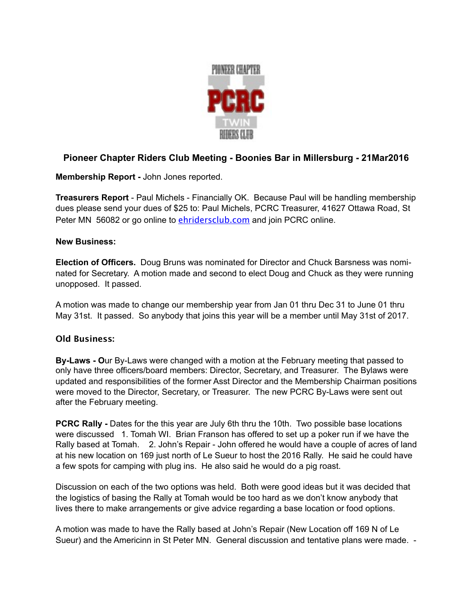

## **Pioneer Chapter Riders Club Meeting - Boonies Bar in Millersburg - 21Mar2016**

**Membership Report -** John Jones reported.

**Treasurers Report** - Paul Michels - Financially OK. Because Paul will be handling membership dues please send your dues of \$25 to: Paul Michels, PCRC Treasurer, 41627 Ottawa Road, St Peter MN 56082 or go online to [ehridersclub.com](http://ehridersclub.com) and join PCRC online.

## **New Business:**

**Election of Officers.** Doug Bruns was nominated for Director and Chuck Barsness was nominated for Secretary. A motion made and second to elect Doug and Chuck as they were running unopposed. It passed.

A motion was made to change our membership year from Jan 01 thru Dec 31 to June 01 thru May 31st. It passed. So anybody that joins this year will be a member until May 31st of 2017.

## **Old Business:**

**By-Laws - O**ur By-Laws were changed with a motion at the February meeting that passed to only have three officers/board members: Director, Secretary, and Treasurer. The Bylaws were updated and responsibilities of the former Asst Director and the Membership Chairman positions were moved to the Director, Secretary, or Treasurer. The new PCRC By-Laws were sent out after the February meeting.

**PCRC Rally -** Dates for the this year are July 6th thru the 10th. Two possible base locations were discussed 1. Tomah WI. Brian Franson has offered to set up a poker run if we have the Rally based at Tomah. 2. John's Repair - John offered he would have a couple of acres of land at his new location on 169 just north of Le Sueur to host the 2016 Rally. He said he could have a few spots for camping with plug ins. He also said he would do a pig roast.

Discussion on each of the two options was held. Both were good ideas but it was decided that the logistics of basing the Rally at Tomah would be too hard as we don't know anybody that lives there to make arrangements or give advice regarding a base location or food options.

A motion was made to have the Rally based at John's Repair (New Location off 169 N of Le Sueur) and the Americinn in St Peter MN. General discussion and tentative plans were made. -